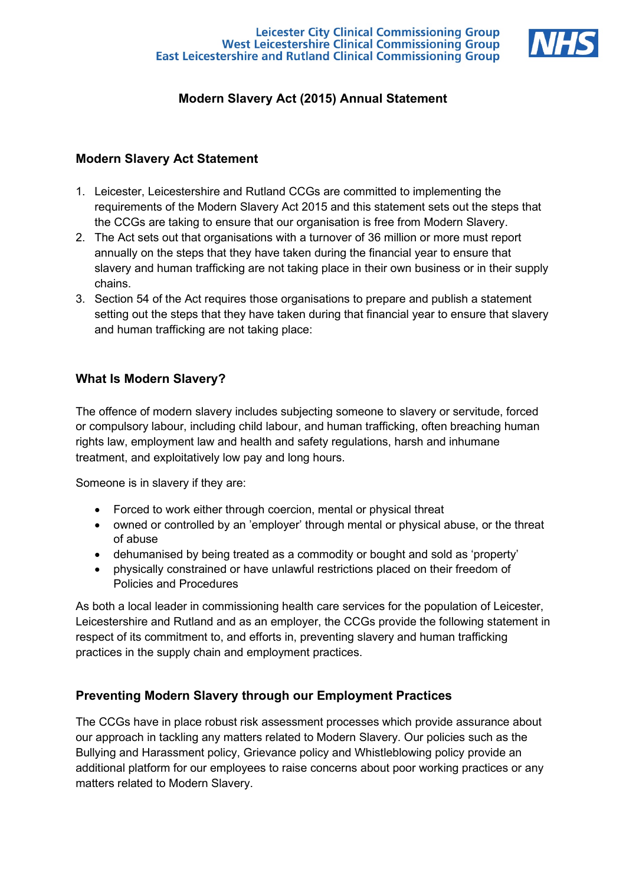

# **Modern Slavery Act (2015) Annual Statement**

#### **Modern Slavery Act Statement**

- 1. Leicester, Leicestershire and Rutland CCGs are committed to implementing the requirements of the Modern Slavery Act 2015 and this statement sets out the steps that the CCGs are taking to ensure that our organisation is free from Modern Slavery.
- 2. The Act sets out that organisations with a turnover of 36 million or more must report annually on the steps that they have taken during the financial year to ensure that slavery and human trafficking are not taking place in their own business or in their supply chains.
- 3. Section 54 of the Act requires those organisations to prepare and publish a statement setting out the steps that they have taken during that financial year to ensure that slavery and human trafficking are not taking place:

### **What Is Modern Slavery?**

The offence of modern slavery includes subjecting someone to slavery or servitude, forced or compulsory labour, including child labour, and human trafficking, often breaching human rights law, employment law and health and safety regulations, harsh and inhumane treatment, and exploitatively low pay and long hours.

Someone is in slavery if they are:

- Forced to work either through coercion, mental or physical threat
- owned or controlled by an 'employer' through mental or physical abuse, or the threat of abuse
- dehumanised by being treated as a commodity or bought and sold as 'property'
- physically constrained or have unlawful restrictions placed on their freedom of Policies and Procedures

As both a local leader in commissioning health care services for the population of Leicester, Leicestershire and Rutland and as an employer, the CCGs provide the following statement in respect of its commitment to, and efforts in, preventing slavery and human trafficking practices in the supply chain and employment practices.

### **Preventing Modern Slavery through our Employment Practices**

The CCGs have in place robust risk assessment processes which provide assurance about our approach in tackling any matters related to Modern Slavery. Our policies such as the Bullying and Harassment policy, Grievance policy and Whistleblowing policy provide an additional platform for our employees to raise concerns about poor working practices or any matters related to Modern Slavery.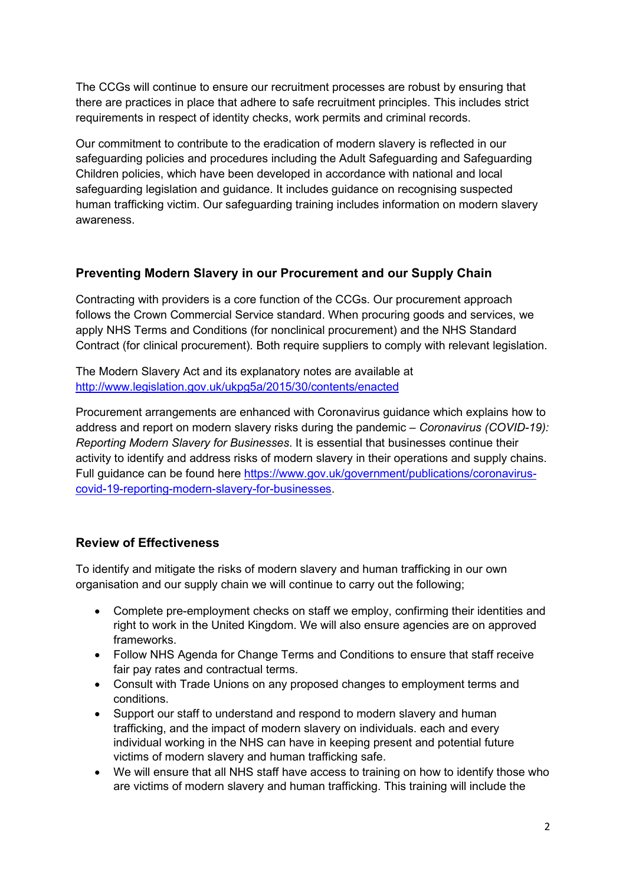The CCGs will continue to ensure our recruitment processes are robust by ensuring that there are practices in place that adhere to safe recruitment principles. This includes strict requirements in respect of identity checks, work permits and criminal records.

Our commitment to contribute to the eradication of modern slavery is reflected in our safeguarding policies and procedures including the Adult Safeguarding and Safeguarding Children policies, which have been developed in accordance with national and local safeguarding legislation and guidance. It includes guidance on recognising suspected human trafficking victim. Our safeguarding training includes information on modern slavery awareness.

### **Preventing Modern Slavery in our Procurement and our Supply Chain**

Contracting with providers is a core function of the CCGs. Our procurement approach follows the Crown Commercial Service standard. When procuring goods and services, we apply NHS Terms and Conditions (for nonclinical procurement) and the NHS Standard Contract (for clinical procurement). Both require suppliers to comply with relevant legislation.

The Modern Slavery Act and its explanatory notes are available at <http://www.legislation.gov.uk/ukpg5a/2015/30/contents/enacted>

Procurement arrangements are enhanced with Coronavirus guidance which explains how to address and report on modern slavery risks during the pandemic – *Coronavirus (COVID-19): Reporting Modern Slavery for Businesses*. It is essential that businesses continue their activity to identify and address risks of modern slavery in their operations and supply chains. Full guidance can be found here [https://www.gov.uk/government/publications/coronavirus](https://www.gov.uk/government/publications/coronavirus-covid-19-reporting-modern-slavery-for-businesses)[covid-19-reporting-modern-slavery-for-businesses.](https://www.gov.uk/government/publications/coronavirus-covid-19-reporting-modern-slavery-for-businesses)

## **Review of Effectiveness**

To identify and mitigate the risks of modern slavery and human trafficking in our own organisation and our supply chain we will continue to carry out the following;

- Complete pre-employment checks on staff we employ, confirming their identities and right to work in the United Kingdom. We will also ensure agencies are on approved frameworks.
- Follow NHS Agenda for Change Terms and Conditions to ensure that staff receive fair pay rates and contractual terms.
- Consult with Trade Unions on any proposed changes to employment terms and conditions.
- Support our staff to understand and respond to modern slavery and human trafficking, and the impact of modern slavery on individuals. each and every individual working in the NHS can have in keeping present and potential future victims of modern slavery and human trafficking safe.
- We will ensure that all NHS staff have access to training on how to identify those who are victims of modern slavery and human trafficking. This training will include the